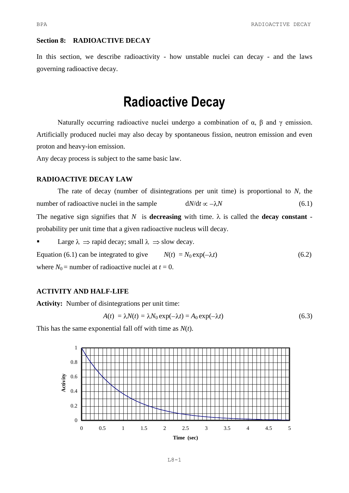## **Section 8: RADIOACTIVE DECAY**

In this section, we describe radioactivity - how unstable nuclei can decay - and the laws governing radioactive decay.

# **Radioactive Decay**

Naturally occurring radioactive nuclei undergo a combination of  $\alpha$ ,  $\beta$  and  $\gamma$  emission. Artificially produced nuclei may also decay by spontaneous fission, neutron emission and even proton and heavy-ion emission.

Any decay process is subject to the same basic law.

## **RADIOACTIVE DECAY LAW**

The rate of decay (number of disintegrations per unit time) is proportional to *N,* the number of radioactive nuclei in the sample  $dN/dt \propto -\lambda N$  (6.1) The negative sign signifies that *N* is **decreasing** with time.  $\lambda$  is called the **decay constant** probability per unit time that a given radioactive nucleus will decay.

Large  $\lambda \Rightarrow$  rapid decay; small  $\lambda \Rightarrow$  slow decay.

Equation (6.1) can be integrated to give  $N(t) = N_0 \exp(-\lambda t)$  (6.2) where  $N_0$  = number of radioactive nuclei at  $t = 0$ .

## **ACTIVITY AND HALF-LIFE**

**Activity:** Number of disintegrations per unit time:

$$
A(t) = \lambda N(t) = \lambda N_0 \exp(-\lambda t) = A_0 \exp(-\lambda t)
$$
\n(6.3)

This has the same exponential fall off with time as *N*(*t*).

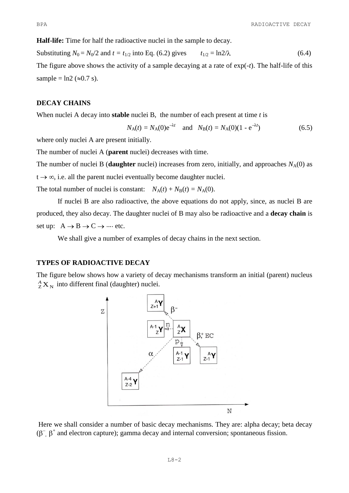**Half-life:** Time for half the radioactive nuclei in the sample to decay.

Substituting  $N_0 = N_0/2$  and  $t = t_{1/2}$  into Eq. (6.2) gives  $t_{1/2} = \ln 2/\lambda$  (6.4) The figure above shows the activity of a sample decaying at a rate of exp(-*t*). The half-life of this sample =  $\ln 2$  ( $\approx 0.7$  s).

## **DECAY CHAINS**

When nuclei A decay into **stable** nuclei B, the number of each present at time *t* is

$$
N_A(t) = N_A(0)e^{-\lambda t}
$$
 and  $N_B(t) = N_A(0)(1 - e^{-\lambda t})$  (6.5)

where only nuclei A are present initially.

The number of nuclei A (**parent** nuclei) decreases with time.

The number of nuclei B (**daughter** nuclei) increases from zero, initially, and approaches  $N_A(0)$  as  $t \rightarrow \infty$ , i.e. all the parent nuclei eventually become daughter nuclei.

The total number of nuclei is constant:  $N_A(t) + N_B(t) = N_A(0)$ .

If nuclei B are also radioactive, the above equations do not apply, since, as nuclei B are produced, they also decay. The daughter nuclei of B may also be radioactive and a **decay chain** is set up:  $A \rightarrow B \rightarrow C \rightarrow \cdots$  etc.

We shall give a number of examples of decay chains in the next section.

## **TYPES OF RADIOACTIVE DECAY**

The figure below shows how a variety of decay mechanisms transform an initial (parent) nucleus  ${}^A_ZX_N$  into different final (daughter) nuclei.



Here we shall consider a number of basic decay mechanisms. They are: alpha decay; beta decay  $(\beta^{-}, \beta^{+})$  and electron capture); gamma decay and internal conversion; spontaneous fission.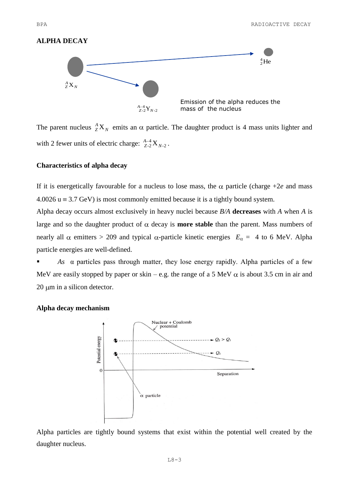## **ALPHA DECAY**



The parent nucleus  ${}^A_Z X_N$  ${}^A_ZX_N$  emits an  $\alpha$  particle. The daughter product is 4 mass units lighter and with 2 fewer units of electric charge:  $_{Z-2}^{A-4}X_{N-2}$  $_{Z-2}^{A-4}$   $X_N$  $^{4-4}_{Z$ -2  $\mathrm{X}$   $_{N$ -2  $\cdot$ 

## **Characteristics of alpha decay**

If it is energetically favourable for a nucleus to lose mass, the  $\alpha$  particle (charge +2*e* and mass  $4.0026$  u  $\equiv$  3.7 GeV) is most commonly emitted because it is a tightly bound system.

Alpha decay occurs almost exclusively in heavy nuclei because *B/A* **decreases** with *A* when *A* is large and so the daughter product of  $\alpha$  decay is **more stable** than the parent. Mass numbers of nearly all  $\alpha$  emitters > 209 and typical  $\alpha$ -particle kinetic energies  $E_{\alpha} = 4$  to 6 MeV. Alpha particle energies are well-defined.

 *As* α particles pass through matter, they lose energy rapidly. Alpha particles of a few MeV are easily stopped by paper or skin – e.g. the range of a 5 MeV  $\alpha$  is about 3.5 cm in air and  $20 \mu m$  in a silicon detector.



**Alpha decay mechanism**

Alpha particles are tightly bound systems that exist within the potential well created by the daughter nucleus.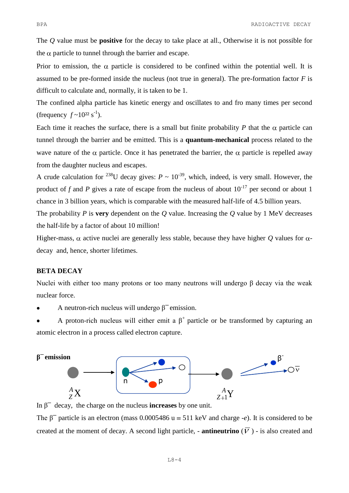The *Q* value must be **positive** for the decay to take place at all., Otherwise it is not possible for the  $\alpha$  particle to tunnel through the barrier and escape.

Prior to emission, the  $\alpha$  particle is considered to be confined within the potential well. It is assumed to be pre-formed inside the nucleus (not true in general). The pre-formation factor *F* is difficult to calculate and, normally, it is taken to be 1.

The confined alpha particle has kinetic energy and oscillates to and fro many times per second (frequency  $f \sim 10^{22}$  s<sup>-1</sup>).

Each time it reaches the surface, there is a small but finite probability  $P$  that the  $\alpha$  particle can tunnel through the barrier and be emitted. This is a **quantum-mechanical** process related to the wave nature of the  $\alpha$  particle. Once it has penetrated the barrier, the  $\alpha$  particle is repelled away from the daughter nucleus and escapes.

A crude calculation for <sup>238</sup>U decay gives:  $P \sim 10^{-39}$ , which, indeed, is very small. However, the product of *f* and *P* gives a rate of escape from the nucleus of about  $10^{-17}$  per second or about 1 chance in 3 billion years, which is comparable with the measured half-life of 4.5 billion years.

The probability *P* is **very** dependent on the *Q* value. Increasing the *Q* value by 1 MeV decreases the half-life by a factor of about 10 million!

Higher-mass,  $\alpha$  active nuclei are generally less stable, because they have higher *Q* values for  $\alpha$ decay and, hence, shorter lifetimes.

## **BETA DECAY**

Nuclei with either too many protons or too many neutrons will undergo β decay via the weak nuclear force.

- A neutron-rich nucleus will undergo  $\beta^-$  emission.
- A proton-rich nucleus will either emit a  $\beta^+$  particle or be transformed by capturing an atomic electron in a process called electron capture.



In  $\beta^-$  decay, the charge on the nucleus **increases** by one unit.

The  $\beta^-$  particle is an electron (mass 0.0005486 u = 511 keV and charge -*e*). It is considered to be created at the moment of decay. A second light particle, - **antineutrino**  $(\overline{V})$  - is also created and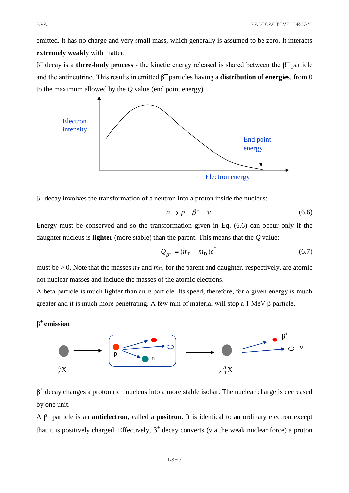emitted. It has no charge and very small mass, which generally is assumed to be zero. It interacts **extremely weakly** with matter.

 $β<sup>-</sup>$  decay is a **three-body process** - the kinetic energy released is shared between the  $β<sup>-</sup>$  particle and the antineutrino. This results in emitted  $\beta^-$  particles having a **distribution of energies**, from 0 to the maximum allowed by the *Q* value (end point energy).





 $β<sup>-</sup>$  decay involves the transformation of a neutron into a proton inside the nucleus:

$$
n \to p + \beta^- + \overline{v} \tag{6.6}
$$

Energy must be conserved and so the transformation given in Eq. (6.6) can occur only if the daughter nucleus is **lighter** (more stable) than the parent. This means that the *Q* value:

$$
Q_{\beta^-} = (m_{\rm P} - m_{\rm D})c^2 \tag{6.7}
$$

must be  $> 0$ . Note that the masses  $m<sub>P</sub>$  and  $m<sub>D</sub>$ , for the parent and daughter, respectively, are atomic not nuclear masses and include the masses of the atomic electrons.

A beta particle is much lighter than an  $\alpha$  particle. Its speed, therefore, for a given energy is much greater and it is much more penetrating. A few mm of material will stop a 1 MeV β particle.

# **β <sup>+</sup>emission**



+ decay changes a proton rich nucleus into a more stable isobar. The nuclear charge is decreased by one unit.

A  $\beta^+$  particle is an **antielectron**, called a **positron**. It is identical to an ordinary electron except that it is positively charged. Effectively,  $\beta^+$  decay converts (via the weak nuclear force) a proton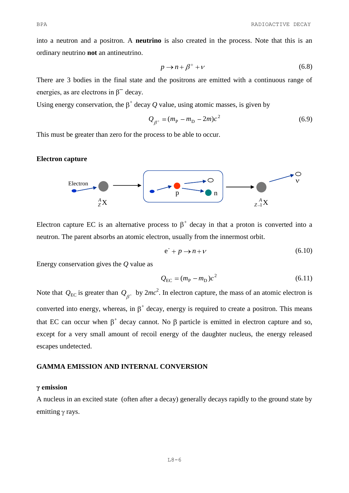into a neutron and a positron. A **neutrino** is also created in the process. Note that this is an ordinary neutrino **not** an antineutrino.

$$
p \to n + \beta^+ + \nu \tag{6.8}
$$

There are 3 bodies in the final state and the positrons are emitted with a continuous range of energies, as are electrons in  $\beta^-$  decay.

Using energy conservation, the  $\beta^+$  decay Q value, using atomic masses, is given by

$$
Q_{\beta^+} = (m_{\rm P} - m_{\rm D} - 2m)c^2
$$
 (6.9)

This must be greater than zero for the process to be able to occur.

## **Electron capture**



Electron capture EC is an alternative process to  $\beta^+$  decay in that a proton is converted into a neutron. The parent absorbs an atomic electron, usually from the innermost orbit.

$$
e^{\cdot} + p \to n + \nu \tag{6.10}
$$

Energy conservation gives the *Q* value as

$$
Q_{\rm EC} = (m_{\rm P} - m_{\rm D})c^2 \tag{6.11}
$$

Note that  $Q_{EC}$  is greater than  $Q_{B^+}$  by  $2mc^2$ . In electron capture, the mass of an atomic electron is converted into energy, whereas, in  $\beta^+$  decay, energy is required to create a positron. This means that EC can occur when  $\beta^+$  decay cannot. No  $\beta$  particle is emitted in electron capture and so, except for a very small amount of recoil energy of the daughter nucleus, the energy released escapes undetected.

### **GAMMA EMISSION AND INTERNAL CONVERSION**

## **γ emission**

A nucleus in an excited state (often after a decay) generally decays rapidly to the ground state by emitting  $\gamma$  rays.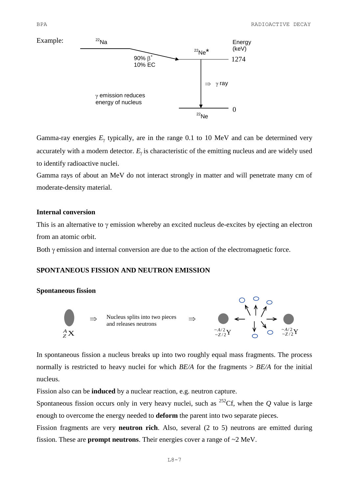

Gamma-ray energies  $E<sub>\gamma</sub>$  typically, are in the range 0.1 to 10 MeV and can be determined very accurately with a modern detector.  $E_y$  is characteristic of the emitting nucleus and are widely used to identify radioactive nuclei.

Gamma rays of about an MeV do not interact strongly in matter and will penetrate many cm of moderate-density material.

## **Internal conversion**

This is an alternative to  $\gamma$  emission whereby an excited nucleus de-excites by ejecting an electron from an atomic orbit.

Both  $\gamma$  emission and internal conversion are due to the action of the electromagnetic force.

# **SPONTANEOUS FISSION AND NEUTRON EMISSION**

### **Spontaneous fission**



In spontaneous fission a nucleus breaks up into two roughly equal mass fragments. The process normally is restricted to heavy nuclei for which *BE/A* for the fragments > *BE/A* for the initial nucleus.

Fission also can be **induced** by a nuclear reaction, e.g. neutron capture.

Spontaneous fission occurs only in very heavy nuclei, such as  $^{252}$ Cf, when the *Q* value is large enough to overcome the energy needed to **deform** the parent into two separate pieces.

Fission fragments are very **neutron rich**. Also, several (2 to 5) neutrons are emitted during fission. These are **prompt neutrons**. Their energies cover a range of ~2 MeV.